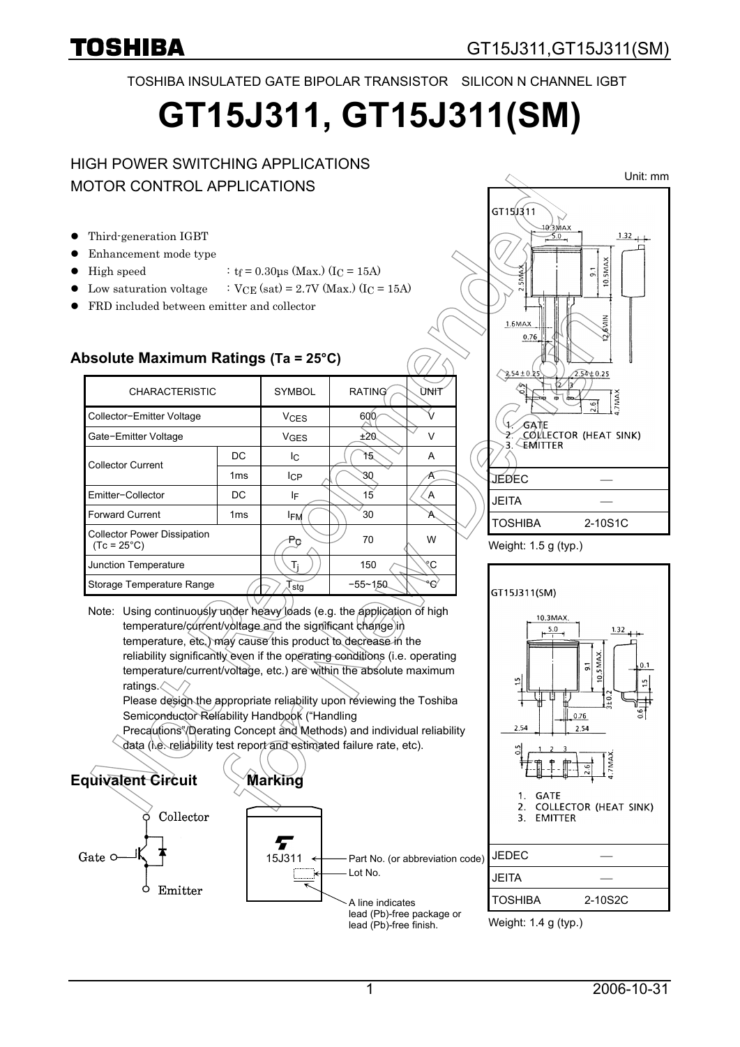TOSHIBA INSULATED GATE BIPOLAR TRANSISTOR SILICON N CHANNEL IGBT

# **GT15J311, GT15J311(SM)**

### HIGH POWER SWITCHING APPLICATIONS MOTOR CONTROL APPLICATIONS

- $\bullet$  Third-generation IGBT
- Enhancement mode type
- High speed :  $t_f = 0.30 \text{µs}$  (Max.) (I<sub>C</sub> = 15A)
- Low saturation voltage :  $VCE$  (sat) = 2.7V (Max.) (IC = 15A)
- FRD included between emitter and collector

#### **Absolute Maximum Ratings (Ta = 25°C)**

| <b>CHARACTERISTIC</b>                                      |                 | <b>SYMBOL</b>          | <b>RATING</b> | UNIT      |
|------------------------------------------------------------|-----------------|------------------------|---------------|-----------|
| Collector-Emitter Voltage                                  |                 | <b>V<sub>CES</sub></b> | 600           |           |
| Gate-Emitter Voltage                                       |                 | <b>V<sub>GES</sub></b> | ±20           | $\sqrt{}$ |
| <b>Collector Current</b>                                   | DC              | Ιc                     | 15            | A         |
|                                                            | 1 <sub>ms</sub> | <b>I</b> CP            | 30            |           |
| Emitter-Collector                                          | DC              | ΙF                     | 15            | A         |
| <b>Forward Current</b>                                     | 1 <sub>ms</sub> | <b>IFM</b>             | 30            |           |
| <b>Collector Power Dissipation</b><br>$(Tc = 25^{\circ}C)$ |                 | Po                     | 70            | W         |
| Junction Temperature                                       |                 | Ti                     | 150           | ۴C        |
| Storage Temperature Range                                  |                 | stg                    | $-55 - 150$   | o.        |
|                                                            |                 |                        |               |           |

Note: Using continuously under heavy loads (e.g. the application of high temperature/current/voltage and the significant change in temperature, etc.) may cause this product to decrease in the reliability significantly even if the operating conditions (i.e. operating temperature/current/voltage, etc.) are within the absolute maximum ratings.

Please design the appropriate reliability upon reviewing the Toshiba Semiconductor Reliability Handbook ("Handling

Precautions"/Derating Concept and Methods) and individual reliability data (i.e. reliability test report and estimated failure rate, etc).









Weight: 1.4 g (typ.)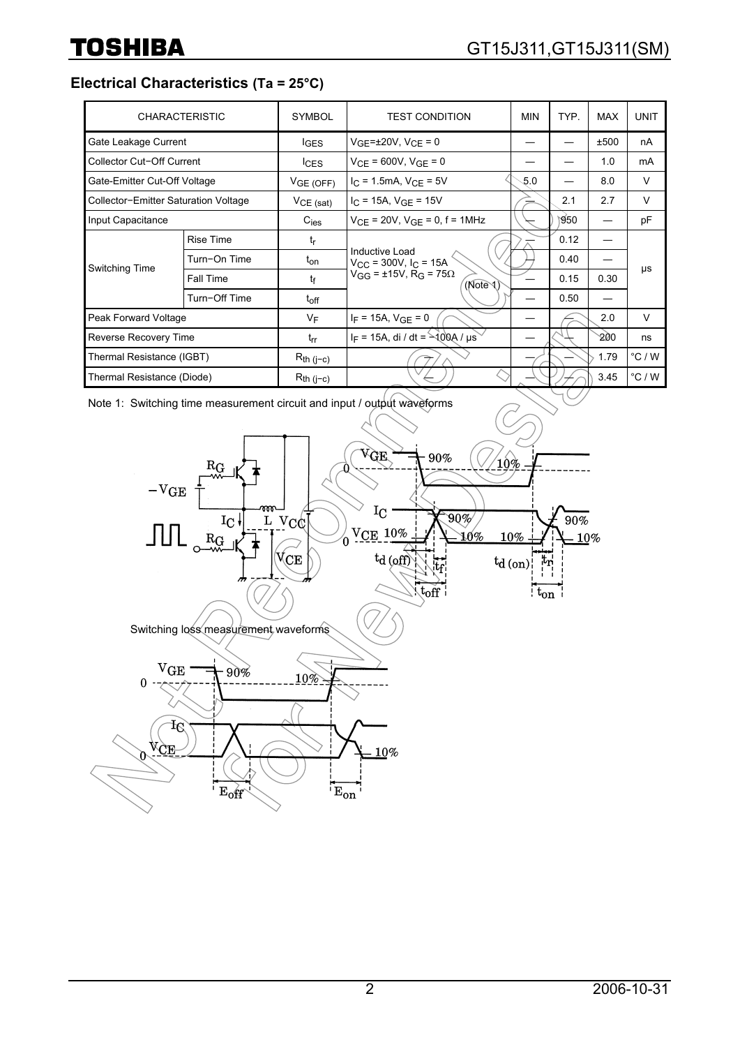**Electrical Characteristics (Ta = 25°C)**

|                                      | <b>CHARACTERISTIC</b> | <b>SYMBOL</b>    | <b>TEST CONDITION</b>                                                                              | <b>MIN</b> | TYP. | <b>MAX</b> | <b>UNIT</b> |
|--------------------------------------|-----------------------|------------------|----------------------------------------------------------------------------------------------------|------------|------|------------|-------------|
| Gate Leakage Current                 |                       | $I_{\text{GES}}$ | $V_{GF} = \pm 20V$ , $V_{CF} = 0$                                                                  |            |      | ±500       | nA          |
| Collector Cut-Off Current            |                       | lc <sub>ES</sub> | $V_{CF}$ = 600V, $V_{GF}$ = 0                                                                      |            |      | 1.0        | mA          |
| Gate-Emitter Cut-Off Voltage         |                       | VGE(OFF)         | $I_{C}$ = 1.5mA, $V_{CF}$ = 5V                                                                     | 5.0        |      | 8.0        | V           |
| Collector-Emitter Saturation Voltage |                       | $VCE$ (sat)      | $I_C = 15A$ , $V_{GE} = 15V$                                                                       |            | 2.1  | 2.7        | V           |
| Input Capacitance                    |                       | $C_{\text{ies}}$ | $V_{CF}$ = 20V, $V_{GF}$ = 0, f = 1MHz                                                             |            | 950  |            | pF          |
| <b>Switching Time</b>                | <b>Rise Time</b>      | $t_{\mathsf{r}}$ | Inductive Load<br>$V_{CC}$ = 300V, $I_C$ = 15A<br>$V_{GG}$ = ±15V, R <sub>G</sub> = 75Ω<br>(Note ) |            | 0.12 |            |             |
|                                      | Turn-On Time          | t <sub>on</sub>  |                                                                                                    |            | 0.40 |            |             |
|                                      | Fall Time             | tf               |                                                                                                    |            | 0.15 | 0.30       | μs          |
|                                      | Turn-Off Time         | $t_{off}$        |                                                                                                    |            | 0.50 |            |             |
| Peak Forward Voltage                 |                       | $V_F$            | $I_F = 15A$ , $V_{GF} = 0$                                                                         |            |      | 2.0        | V           |
| Reverse Recovery Time                |                       | $t_{rr}$         | $I_F = 15A$ , di / dt = $-400A$ / $\mu s$                                                          |            |      | 200        | ns          |
| Thermal Resistance (IGBT)            |                       | $R_{th (j-c)}$   |                                                                                                    |            |      | 1.79       | °C/W        |
| Thermal Resistance (Diode)           |                       | $R_{th}$ (j-c)   |                                                                                                    |            |      | 3.45       | °C/W        |

Note 1: Switching time measurement circuit and input / output waveforms

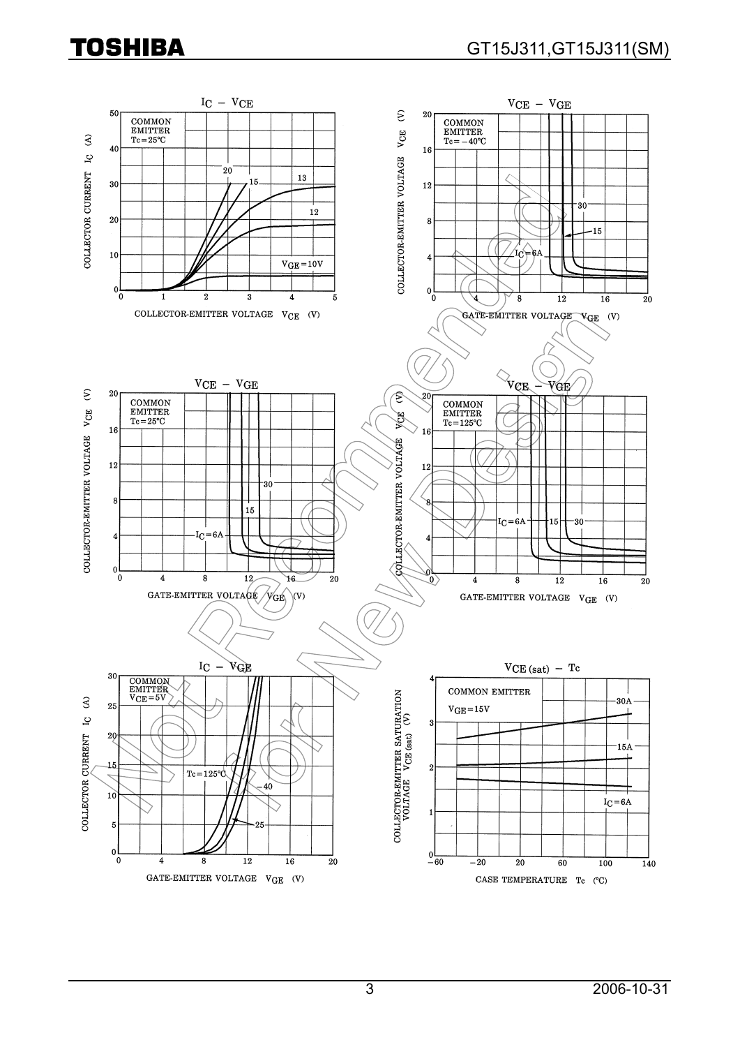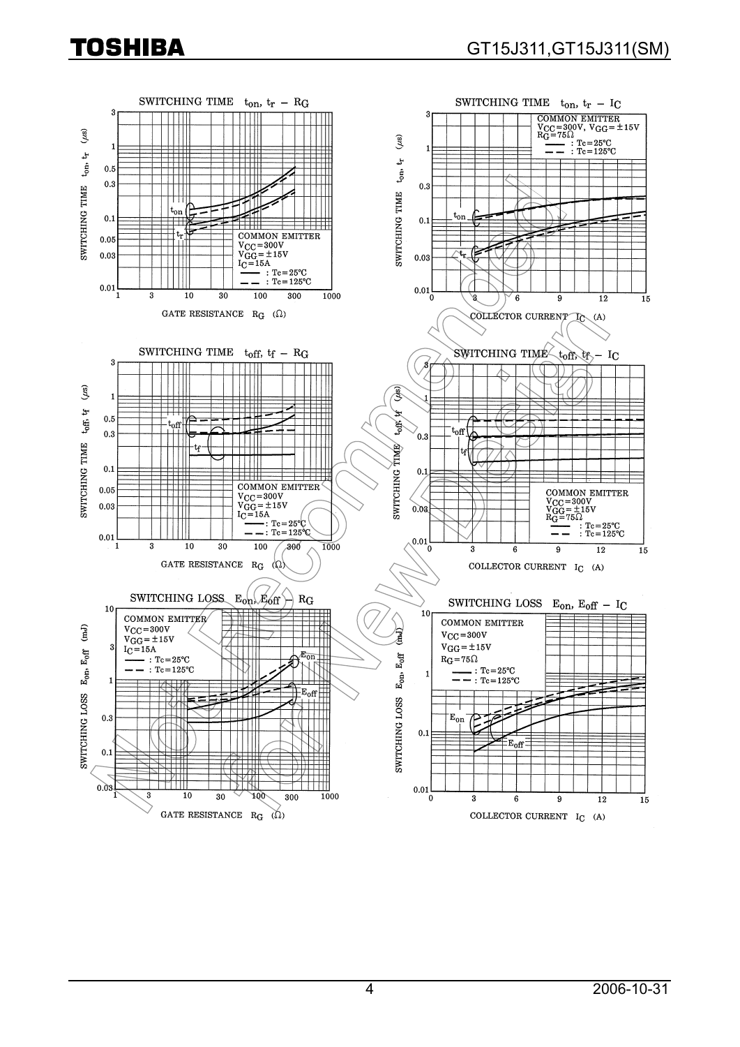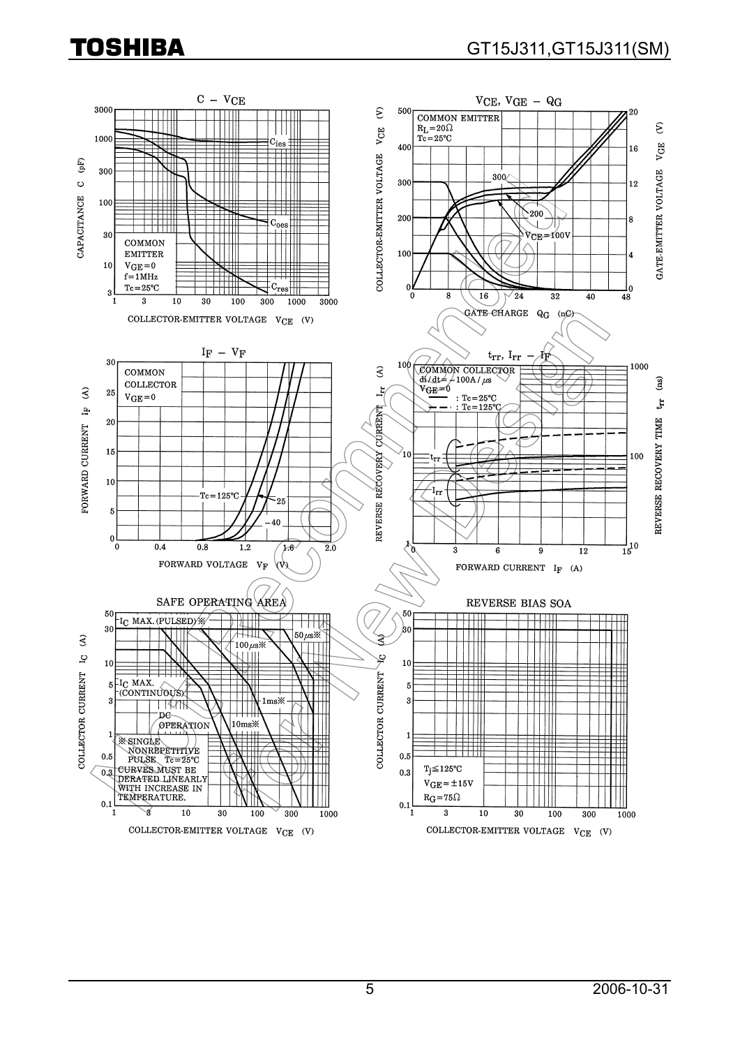## TOSHIBA

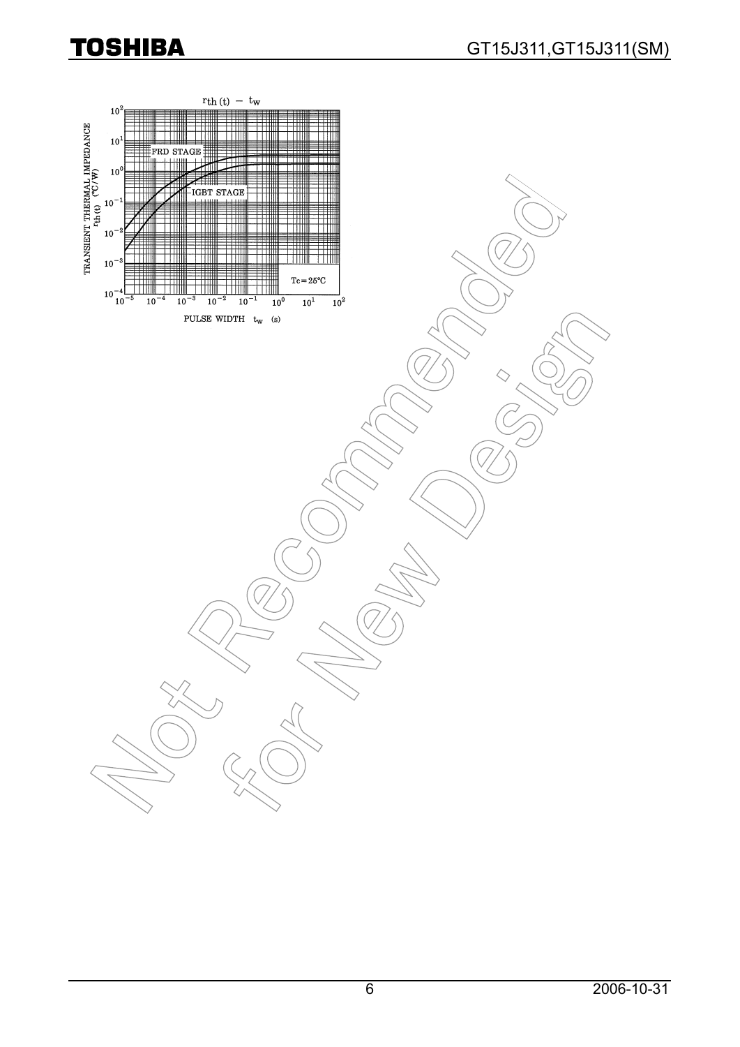